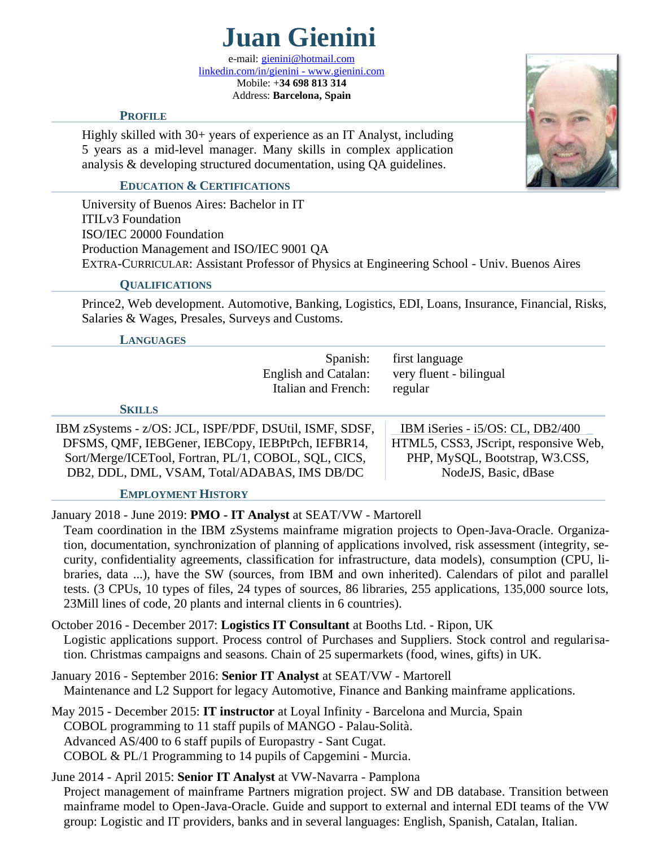

e-mail: *gienini@hotmail.com* [linkedin.com/in/gienini](http://www.linkedin.com/in/gienini) - [www.gienini.com](http://www.gienini.com/) Mobile: +**34 698 813 314** Address: **Barcelona, Spain**

### **PROFILE**

Highly skilled with 30+ years of experience as an IT Analyst, including 5 years as a mid-level manager. Many skills in complex application analysis & developing structured documentation, using QA guidelines.

### **EDUCATION & CERTIFICATIONS**

University of Buenos Aires: Bachelor in IT ITILv3 Foundation ISO/IEC 20000 Foundation Production Management and ISO/IEC 9001 QA EXTRA-CURRICULAR: Assistant Professor of Physics at Engineering School - Univ. Buenos Aires

### **QUALIFICATIONS**

Prince2, Web development. Automotive, Banking, Logistics, EDI, Loans, Insurance, Financial, Risks, Salaries & Wages, Presales, Surveys and Customs.

#### **LANGUAGES**

| Italian and French: regular | Spanish: first language<br>English and Catalan: very fluent - bilingual |  |
|-----------------------------|-------------------------------------------------------------------------|--|
|                             |                                                                         |  |

**SKILLS**

IBM zSystems - z/OS: JCL, ISPF/PDF, DSUtil, ISMF, SDSF, DFSMS, QMF, IEBGener, IEBCopy, IEBPtPch, IEFBR14, Sort/Merge/ICETool, Fortran, PL/1, COBOL, SQL, CICS, DB2, DDL, DML, VSAM, Total/ADABAS, IMS DB/DC

 IBM iSeries - i5/OS: CL, DB2/400 \_ HTML5, CSS3, JScript, responsive Web, PHP, MySQL, Bootstrap, W3.CSS,

NodeJS, Basic, dBase

### **EMPLOYMENT HISTORY**

January 2018 - June 2019: **PMO - IT Analyst** at SEAT/VW - Martorell

Team coordination in the IBM zSystems mainframe migration projects to Open-Java-Oracle. Organization, documentation, synchronization of planning of applications involved, risk assessment (integrity, security, confidentiality agreements, classification for infrastructure, data models), consumption (CPU, libraries, data ...), have the SW (sources, from IBM and own inherited). Calendars of pilot and parallel tests. (3 CPUs, 10 types of files, 24 types of sources, 86 libraries, 255 applications, 135,000 source lots, 23Mill lines of code, 20 plants and internal clients in 6 countries).

October 2016 - December 2017: **Logistics IT Consultant** at Booths Ltd. - Ripon, UK Logistic applications support. Process control of Purchases and Suppliers. Stock control and regularisation. Christmas campaigns and seasons. Chain of 25 supermarkets (food, wines, gifts) in UK.

January 2016 - September 2016: **Senior IT Analyst** at SEAT/VW - Martorell Maintenance and L2 Support for legacy Automotive, Finance and Banking mainframe applications.

May 2015 - December 2015: **IT instructor** at Loyal Infinity - Barcelona and Murcia, Spain COBOL programming to 11 staff pupils of MANGO - Palau-Solità. Advanced AS/400 to 6 staff pupils of Europastry - Sant Cugat. COBOL & PL/1 Programming to 14 pupils of Capgemini - Murcia.

June 2014 - April 2015: **Senior IT Analyst** at VW-Navarra - Pamplona Project management of mainframe Partners migration project. SW and DB database. Transition between mainframe model to Open-Java-Oracle. Guide and support to external and internal EDI teams of the VW group: Logistic and IT providers, banks and in several languages: English, Spanish, Catalan, Italian.